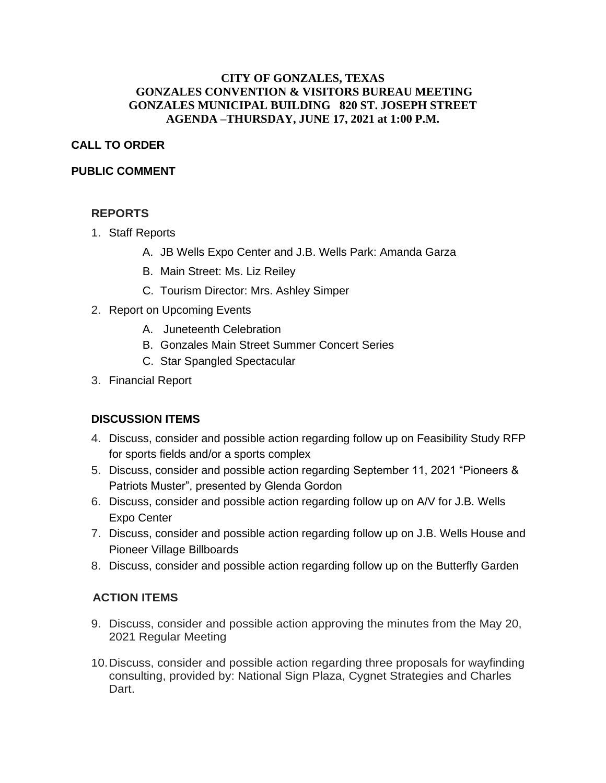### **CITY OF GONZALES, TEXAS GONZALES CONVENTION & VISITORS BUREAU MEETING GONZALES MUNICIPAL BUILDING 820 ST. JOSEPH STREET AGENDA –THURSDAY, JUNE 17, 2021 at 1:00 P.M.**

## **CALL TO ORDER**

### **PUBLIC COMMENT**

## **REPORTS**

- 1. Staff Reports
	- A. JB Wells Expo Center and J.B. Wells Park: Amanda Garza
	- B. Main Street: Ms. Liz Reiley
	- C. Tourism Director: Mrs. Ashley Simper
- 2. Report on Upcoming Events
	- A. Juneteenth Celebration
	- B. Gonzales Main Street Summer Concert Series
	- C. Star Spangled Spectacular
- 3. Financial Report

# **DISCUSSION ITEMS**

- 4. Discuss, consider and possible action regarding follow up on Feasibility Study RFP for sports fields and/or a sports complex
- 5. Discuss, consider and possible action regarding September 11, 2021 "Pioneers & Patriots Muster", presented by Glenda Gordon
- 6. Discuss, consider and possible action regarding follow up on A/V for J.B. Wells Expo Center
- 7. Discuss, consider and possible action regarding follow up on J.B. Wells House and Pioneer Village Billboards
- 8. Discuss, consider and possible action regarding follow up on the Butterfly Garden

# **ACTION ITEMS**

- 9. Discuss, consider and possible action approving the minutes from the May 20, 2021 Regular Meeting
- 10.Discuss, consider and possible action regarding three proposals for wayfinding consulting, provided by: National Sign Plaza, Cygnet Strategies and Charles Dart.